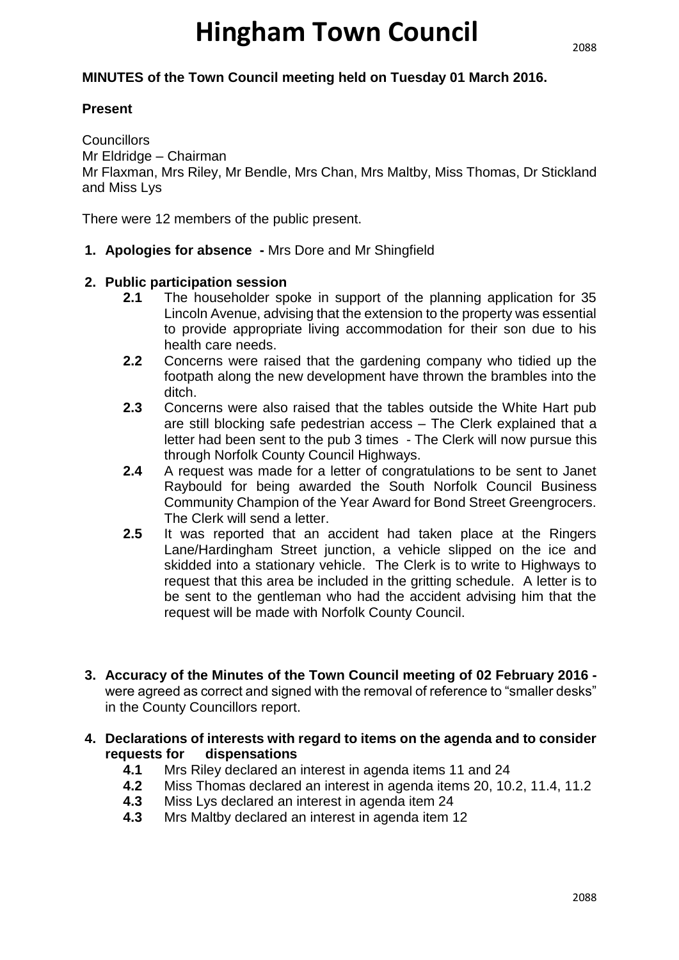# **Hingham Town Council**

#### **MINUTES of the Town Council meeting held on Tuesday 01 March 2016.**

#### **Present**

**Councillors** Mr Eldridge – Chairman Mr Flaxman, Mrs Riley, Mr Bendle, Mrs Chan, Mrs Maltby, Miss Thomas, Dr Stickland and Miss Lys

There were 12 members of the public present.

**1. Apologies for absence -** Mrs Dore and Mr Shingfield

#### **2. Public participation session**

- **2.1** The householder spoke in support of the planning application for 35 Lincoln Avenue, advising that the extension to the property was essential to provide appropriate living accommodation for their son due to his health care needs.
- **2.2** Concerns were raised that the gardening company who tidied up the footpath along the new development have thrown the brambles into the ditch.
- **2.3** Concerns were also raised that the tables outside the White Hart pub are still blocking safe pedestrian access – The Clerk explained that a letter had been sent to the pub 3 times - The Clerk will now pursue this through Norfolk County Council Highways.
- **2.4** A request was made for a letter of congratulations to be sent to Janet Raybould for being awarded the South Norfolk Council Business Community Champion of the Year Award for Bond Street Greengrocers. The Clerk will send a letter.
- **2.5** It was reported that an accident had taken place at the Ringers Lane/Hardingham Street junction, a vehicle slipped on the ice and skidded into a stationary vehicle. The Clerk is to write to Highways to request that this area be included in the gritting schedule. A letter is to be sent to the gentleman who had the accident advising him that the request will be made with Norfolk County Council.
- **3. Accuracy of the Minutes of the Town Council meeting of 02 February 2016**  were agreed as correct and signed with the removal of reference to "smaller desks" in the County Councillors report.
- **4. Declarations of interests with regard to items on the agenda and to consider requests for dispensations**
	- **4.1** Mrs Riley declared an interest in agenda items 11 and 24
	- **4.2** Miss Thomas declared an interest in agenda items 20, 10.2, 11.4, 11.2
	- **4.3** Miss Lys declared an interest in agenda item 24
	- **4.3** Mrs Maltby declared an interest in agenda item 12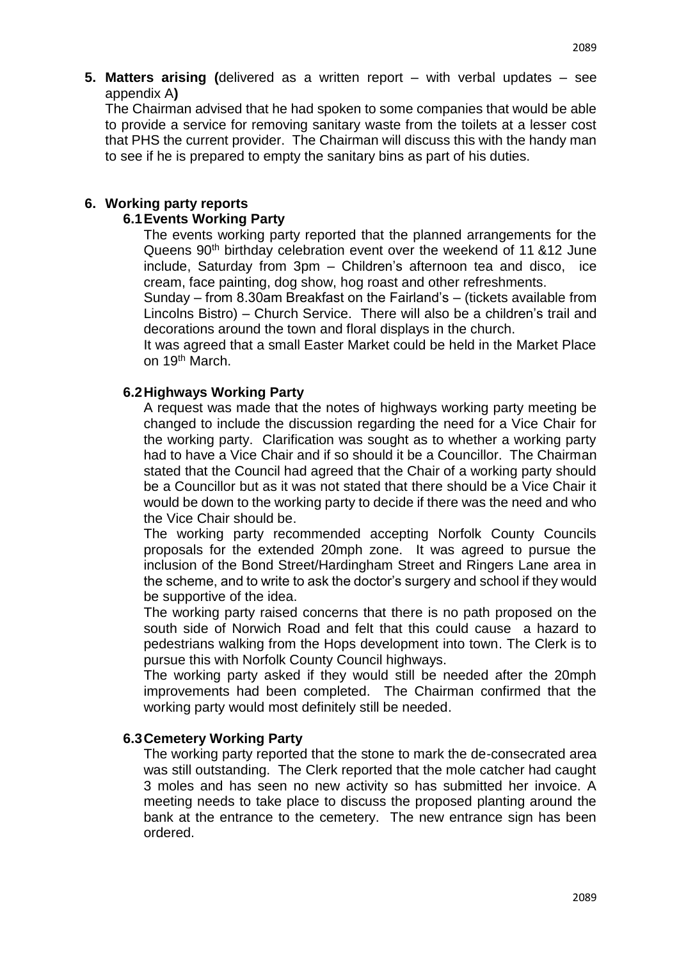**5. Matters arising (**delivered as a written report – with verbal updates – see appendix A**)**

The Chairman advised that he had spoken to some companies that would be able to provide a service for removing sanitary waste from the toilets at a lesser cost that PHS the current provider. The Chairman will discuss this with the handy man to see if he is prepared to empty the sanitary bins as part of his duties.

#### **6. Working party reports**

#### **6.1Events Working Party**

The events working party reported that the planned arrangements for the Queens 90<sup>th</sup> birthday celebration event over the weekend of 11 &12 June include, Saturday from 3pm – Children's afternoon tea and disco, ice cream, face painting, dog show, hog roast and other refreshments.

Sunday – from 8.30am Breakfast on the Fairland's – (tickets available from Lincolns Bistro) – Church Service. There will also be a children's trail and decorations around the town and floral displays in the church.

It was agreed that a small Easter Market could be held in the Market Place on 19th March.

#### **6.2Highways Working Party**

A request was made that the notes of highways working party meeting be changed to include the discussion regarding the need for a Vice Chair for the working party. Clarification was sought as to whether a working party had to have a Vice Chair and if so should it be a Councillor. The Chairman stated that the Council had agreed that the Chair of a working party should be a Councillor but as it was not stated that there should be a Vice Chair it would be down to the working party to decide if there was the need and who the Vice Chair should be.

The working party recommended accepting Norfolk County Councils proposals for the extended 20mph zone. It was agreed to pursue the inclusion of the Bond Street/Hardingham Street and Ringers Lane area in the scheme, and to write to ask the doctor's surgery and school if they would be supportive of the idea.

The working party raised concerns that there is no path proposed on the south side of Norwich Road and felt that this could cause a hazard to pedestrians walking from the Hops development into town. The Clerk is to pursue this with Norfolk County Council highways.

The working party asked if they would still be needed after the 20mph improvements had been completed. The Chairman confirmed that the working party would most definitely still be needed.

#### **6.3Cemetery Working Party**

The working party reported that the stone to mark the de-consecrated area was still outstanding. The Clerk reported that the mole catcher had caught 3 moles and has seen no new activity so has submitted her invoice. A meeting needs to take place to discuss the proposed planting around the bank at the entrance to the cemetery. The new entrance sign has been ordered.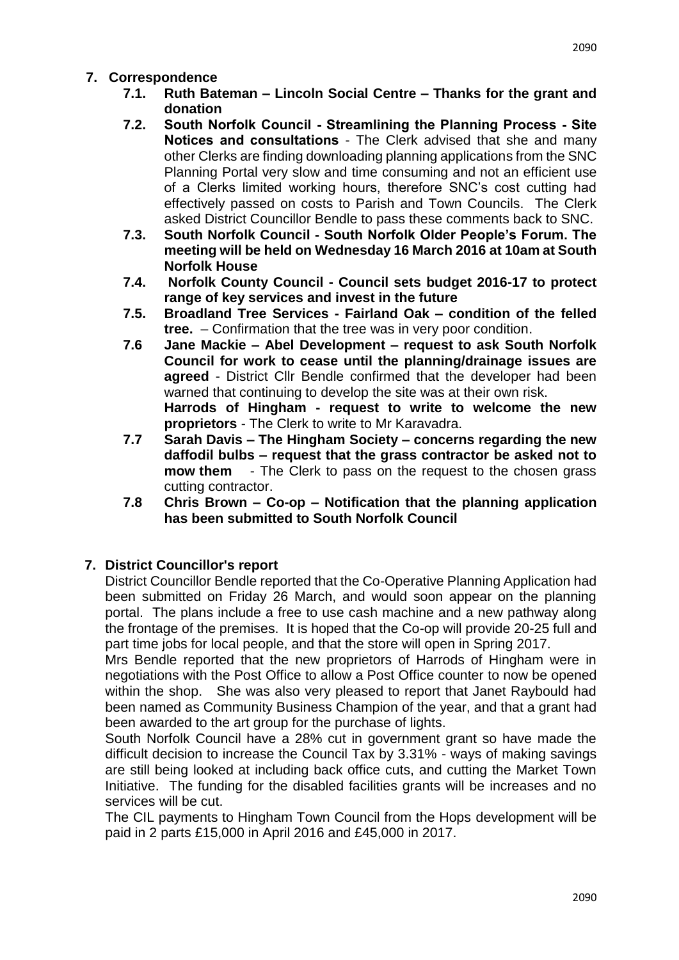- **7.1. Ruth Bateman – Lincoln Social Centre – Thanks for the grant and donation**
- **7.2. South Norfolk Council - Streamlining the Planning Process - Site Notices and consultations** - The Clerk advised that she and many other Clerks are finding downloading planning applications from the SNC Planning Portal very slow and time consuming and not an efficient use of a Clerks limited working hours, therefore SNC's cost cutting had effectively passed on costs to Parish and Town Councils. The Clerk asked District Councillor Bendle to pass these comments back to SNC.
- **7.3. South Norfolk Council - South Norfolk Older People's Forum. The meeting will be held on Wednesday 16 March 2016 at 10am at South Norfolk House**
- **7.4. Norfolk County Council - Council sets budget 2016-17 to protect range of key services and invest in the future**
- **7.5. Broadland Tree Services - Fairland Oak – condition of the felled tree.** – Confirmation that the tree was in very poor condition.
- **7.6 Jane Mackie – Abel Development – request to ask South Norfolk Council for work to cease until the planning/drainage issues are agreed** - District Cllr Bendle confirmed that the developer had been warned that continuing to develop the site was at their own risk. **Harrods of Hingham - request to write to welcome the new proprietors** - The Clerk to write to Mr Karavadra.
- **7.7 Sarah Davis – The Hingham Society – concerns regarding the new daffodil bulbs – request that the grass contractor be asked not to mow them** - The Clerk to pass on the request to the chosen grass cutting contractor.
- **7.8 Chris Brown – Co-op – Notification that the planning application has been submitted to South Norfolk Council**

## **7. District Councillor's report**

District Councillor Bendle reported that the Co-Operative Planning Application had been submitted on Friday 26 March, and would soon appear on the planning portal. The plans include a free to use cash machine and a new pathway along the frontage of the premises. It is hoped that the Co-op will provide 20-25 full and part time jobs for local people, and that the store will open in Spring 2017.

Mrs Bendle reported that the new proprietors of Harrods of Hingham were in negotiations with the Post Office to allow a Post Office counter to now be opened within the shop. She was also very pleased to report that Janet Raybould had been named as Community Business Champion of the year, and that a grant had been awarded to the art group for the purchase of lights.

South Norfolk Council have a 28% cut in government grant so have made the difficult decision to increase the Council Tax by 3.31% - ways of making savings are still being looked at including back office cuts, and cutting the Market Town Initiative. The funding for the disabled facilities grants will be increases and no services will be cut.

The CIL payments to Hingham Town Council from the Hops development will be paid in 2 parts £15,000 in April 2016 and £45,000 in 2017.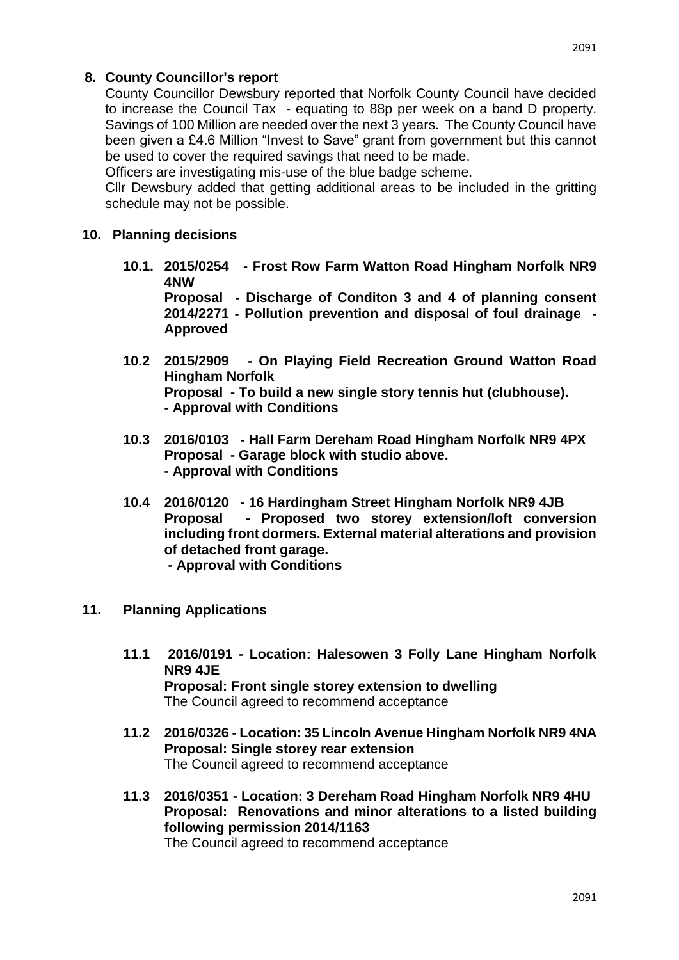### **8. County Councillor's report**

County Councillor Dewsbury reported that Norfolk County Council have decided to increase the Council Tax - equating to 88p per week on a band D property. Savings of 100 Million are needed over the next 3 years. The County Council have been given a £4.6 Million "Invest to Save" grant from government but this cannot be used to cover the required savings that need to be made.

Officers are investigating mis-use of the blue badge scheme.

Cllr Dewsbury added that getting additional areas to be included in the gritting schedule may not be possible.

#### **10. Planning decisions**

**10.1. 2015/0254 - Frost Row Farm Watton Road Hingham Norfolk NR9 4NW** 

**Proposal - Discharge of Conditon 3 and 4 of planning consent 2014/2271 - Pollution prevention and disposal of foul drainage - Approved** 

- **10.2 2015/2909 - On Playing Field Recreation Ground Watton Road Hingham Norfolk Proposal - To build a new single story tennis hut (clubhouse). - Approval with Conditions**
- **10.3 2016/0103 - Hall Farm Dereham Road Hingham Norfolk NR9 4PX Proposal - Garage block with studio above. - Approval with Conditions**
- **10.4 2016/0120 - 16 Hardingham Street Hingham Norfolk NR9 4JB Proposal - Proposed two storey extension/loft conversion including front dormers. External material alterations and provision of detached front garage.** 
	- **- Approval with Conditions**
- **11. Planning Applications** 
	- **11.1 2016/0191 - Location: Halesowen 3 Folly Lane Hingham Norfolk NR9 4JE Proposal: Front single storey extension to dwelling** The Council agreed to recommend acceptance
	- **11.2 2016/0326 - Location: 35 Lincoln Avenue Hingham Norfolk NR9 4NA Proposal: Single storey rear extension** The Council agreed to recommend acceptance
	- **11.3 2016/0351 - Location: 3 Dereham Road Hingham Norfolk NR9 4HU Proposal: Renovations and minor alterations to a listed building following permission 2014/1163** The Council agreed to recommend acceptance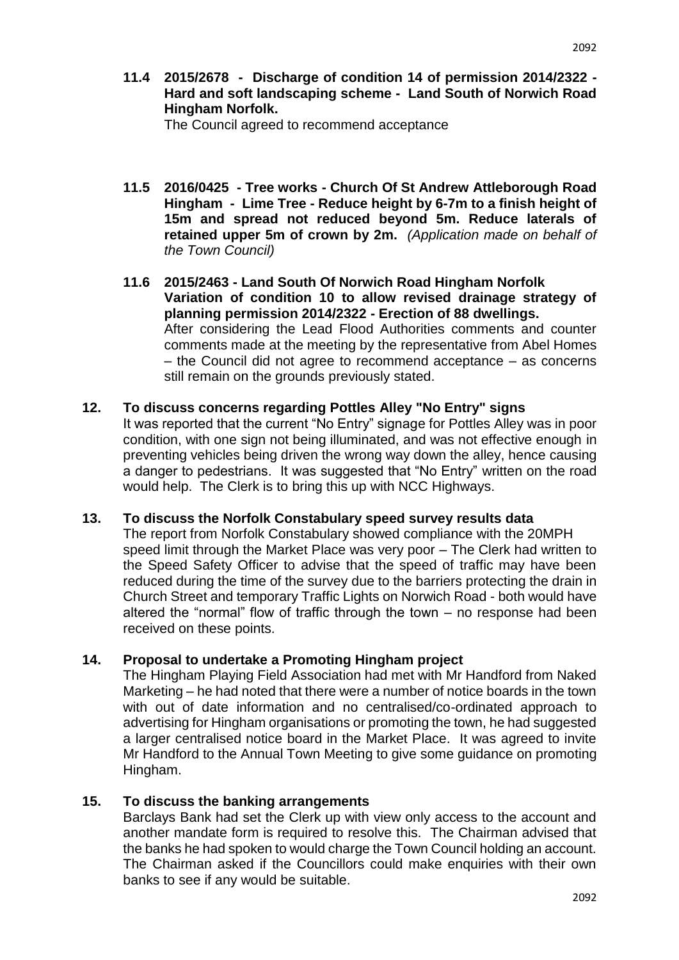**11.4 2015/2678 - Discharge of condition 14 of permission 2014/2322 - Hard and soft landscaping scheme - Land South of Norwich Road Hingham Norfolk.**

The Council agreed to recommend acceptance

- **11.5 2016/0425 - Tree works - Church Of St Andrew Attleborough Road Hingham - Lime Tree - Reduce height by 6-7m to a finish height of 15m and spread not reduced beyond 5m. Reduce laterals of retained upper 5m of crown by 2m.** *(Application made on behalf of the Town Council)*
- **11.6 2015/2463 - Land South Of Norwich Road Hingham Norfolk Variation of condition 10 to allow revised drainage strategy of planning permission 2014/2322 - Erection of 88 dwellings.**  After considering the Lead Flood Authorities comments and counter comments made at the meeting by the representative from Abel Homes – the Council did not agree to recommend acceptance – as concerns still remain on the grounds previously stated.

#### **12. To discuss concerns regarding Pottles Alley "No Entry" signs**

It was reported that the current "No Entry" signage for Pottles Alley was in poor condition, with one sign not being illuminated, and was not effective enough in preventing vehicles being driven the wrong way down the alley, hence causing a danger to pedestrians. It was suggested that "No Entry" written on the road would help. The Clerk is to bring this up with NCC Highways.

#### **13. To discuss the Norfolk Constabulary speed survey results data**

The report from Norfolk Constabulary showed compliance with the 20MPH speed limit through the Market Place was very poor – The Clerk had written to the Speed Safety Officer to advise that the speed of traffic may have been reduced during the time of the survey due to the barriers protecting the drain in Church Street and temporary Traffic Lights on Norwich Road - both would have altered the "normal" flow of traffic through the town – no response had been received on these points.

#### **14. Proposal to undertake a Promoting Hingham project**

The Hingham Playing Field Association had met with Mr Handford from Naked Marketing – he had noted that there were a number of notice boards in the town with out of date information and no centralised/co-ordinated approach to advertising for Hingham organisations or promoting the town, he had suggested a larger centralised notice board in the Market Place. It was agreed to invite Mr Handford to the Annual Town Meeting to give some guidance on promoting Hingham.

#### **15. To discuss the banking arrangements**

Barclays Bank had set the Clerk up with view only access to the account and another mandate form is required to resolve this. The Chairman advised that the banks he had spoken to would charge the Town Council holding an account. The Chairman asked if the Councillors could make enquiries with their own banks to see if any would be suitable.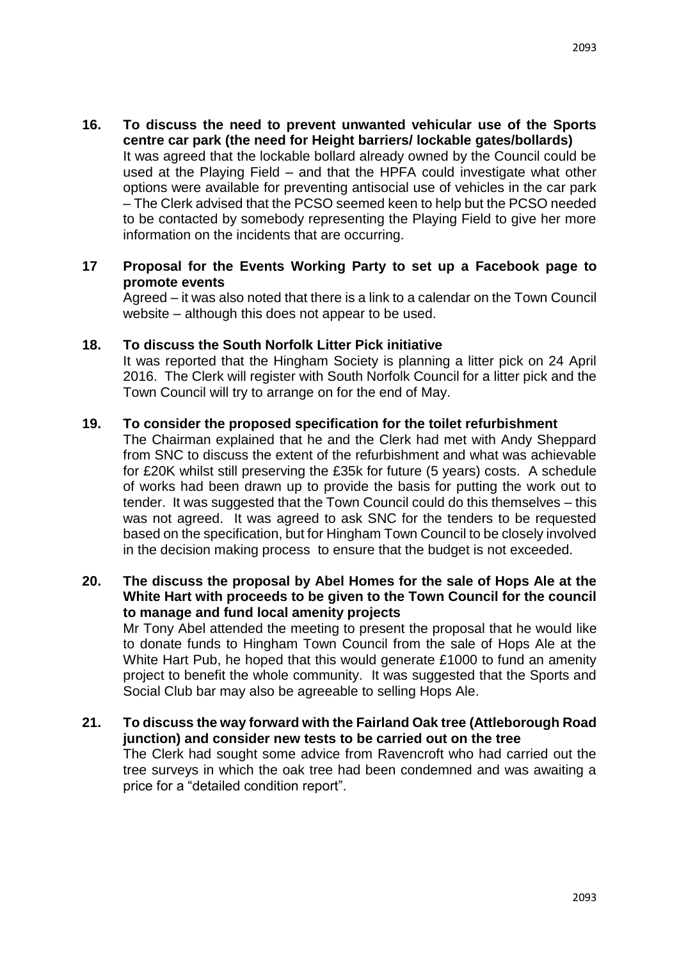**16. To discuss the need to prevent unwanted vehicular use of the Sports centre car park (the need for Height barriers/ lockable gates/bollards)** It was agreed that the lockable bollard already owned by the Council could be used at the Playing Field – and that the HPFA could investigate what other options were available for preventing antisocial use of vehicles in the car park – The Clerk advised that the PCSO seemed keen to help but the PCSO needed to be contacted by somebody representing the Playing Field to give her more information on the incidents that are occurring.

#### **17 Proposal for the Events Working Party to set up a Facebook page to promote events**

Agreed – it was also noted that there is a link to a calendar on the Town Council website – although this does not appear to be used.

#### **18. To discuss the South Norfolk Litter Pick initiative**

It was reported that the Hingham Society is planning a litter pick on 24 April 2016. The Clerk will register with South Norfolk Council for a litter pick and the Town Council will try to arrange on for the end of May.

#### **19. To consider the proposed specification for the toilet refurbishment**

The Chairman explained that he and the Clerk had met with Andy Sheppard from SNC to discuss the extent of the refurbishment and what was achievable for £20K whilst still preserving the £35k for future (5 years) costs. A schedule of works had been drawn up to provide the basis for putting the work out to tender. It was suggested that the Town Council could do this themselves – this was not agreed. It was agreed to ask SNC for the tenders to be requested based on the specification, but for Hingham Town Council to be closely involved in the decision making process to ensure that the budget is not exceeded.

#### **20. The discuss the proposal by Abel Homes for the sale of Hops Ale at the White Hart with proceeds to be given to the Town Council for the council to manage and fund local amenity projects**

Mr Tony Abel attended the meeting to present the proposal that he would like to donate funds to Hingham Town Council from the sale of Hops Ale at the White Hart Pub, he hoped that this would generate £1000 to fund an amenity project to benefit the whole community. It was suggested that the Sports and Social Club bar may also be agreeable to selling Hops Ale.

#### **21. To discuss the way forward with the Fairland Oak tree (Attleborough Road junction) and consider new tests to be carried out on the tree** The Clerk had sought some advice from Ravencroft who had carried out the tree surveys in which the oak tree had been condemned and was awaiting a price for a "detailed condition report".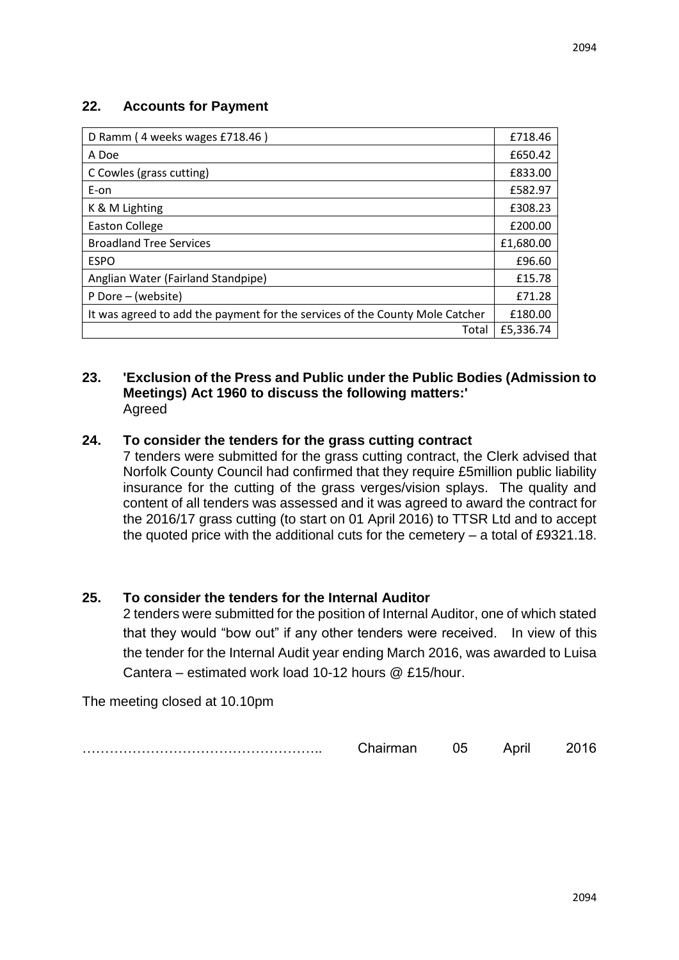#### **22. Accounts for Payment**

| D Ramm (4 weeks wages £718.46)                                               | £718.46   |
|------------------------------------------------------------------------------|-----------|
| A Doe                                                                        | £650.42   |
| C Cowles (grass cutting)                                                     | £833.00   |
| E-on                                                                         | £582.97   |
| K & M Lighting                                                               | £308.23   |
| Easton College                                                               | £200.00   |
| <b>Broadland Tree Services</b>                                               | £1,680.00 |
| <b>ESPO</b>                                                                  | £96.60    |
| Anglian Water (Fairland Standpipe)                                           | £15.78    |
| P Dore – (website)                                                           | £71.28    |
| It was agreed to add the payment for the services of the County Mole Catcher | £180.00   |
| Total                                                                        | £5,336.74 |

#### **23. 'Exclusion of the Press and Public under the Public Bodies (Admission to Meetings) Act 1960 to discuss the following matters:'** Agreed

#### **24. To consider the tenders for the grass cutting contract**

7 tenders were submitted for the grass cutting contract, the Clerk advised that Norfolk County Council had confirmed that they require £5million public liability insurance for the cutting of the grass verges/vision splays. The quality and content of all tenders was assessed and it was agreed to award the contract for the 2016/17 grass cutting (to start on 01 April 2016) to TTSR Ltd and to accept the quoted price with the additional cuts for the cemetery – a total of £9321.18.

#### **25. To consider the tenders for the Internal Auditor**

2 tenders were submitted for the position of Internal Auditor, one of which stated that they would "bow out" if any other tenders were received. In view of this the tender for the Internal Audit year ending March 2016, was awarded to Luisa Cantera – estimated work load 10-12 hours @ £15/hour.

The meeting closed at 10.10pm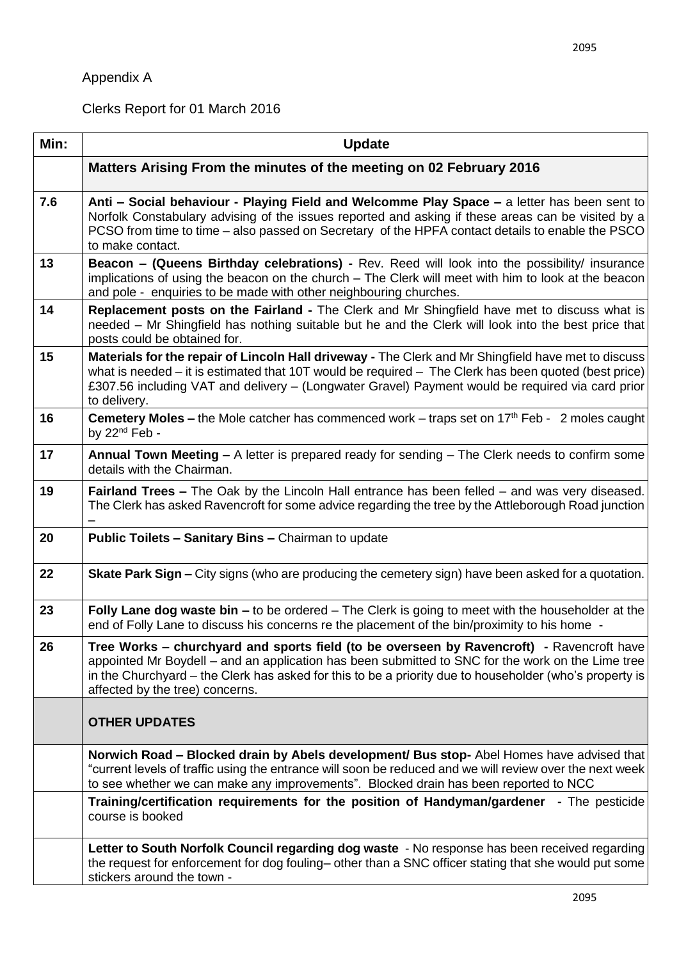# Appendix A

Clerks Report for 01 March 2016

| Min: | <b>Update</b>                                                                                                                                                                                                                                                                                                                                |
|------|----------------------------------------------------------------------------------------------------------------------------------------------------------------------------------------------------------------------------------------------------------------------------------------------------------------------------------------------|
|      | Matters Arising From the minutes of the meeting on 02 February 2016                                                                                                                                                                                                                                                                          |
| 7.6  | Anti – Social behaviour - Playing Field and Welcomme Play Space – a letter has been sent to<br>Norfolk Constabulary advising of the issues reported and asking if these areas can be visited by a<br>PCSO from time to time – also passed on Secretary of the HPFA contact details to enable the PSCO<br>to make contact.                    |
| 13   | Beacon - (Queens Birthday celebrations) - Rev. Reed will look into the possibility/ insurance<br>implications of using the beacon on the church - The Clerk will meet with him to look at the beacon<br>and pole - enquiries to be made with other neighbouring churches.                                                                    |
| 14   | Replacement posts on the Fairland - The Clerk and Mr Shingfield have met to discuss what is<br>needed – Mr Shingfield has nothing suitable but he and the Clerk will look into the best price that<br>posts could be obtained for.                                                                                                           |
| 15   | Materials for the repair of Lincoln Hall driveway - The Clerk and Mr Shingfield have met to discuss<br>what is needed – it is estimated that 10T would be required – The Clerk has been quoted (best price)<br>£307.56 including VAT and delivery – (Longwater Gravel) Payment would be required via card prior<br>to delivery.              |
| 16   | <b>Cemetery Moles –</b> the Mole catcher has commenced work – traps set on 17 <sup>th</sup> Feb - 2 moles caught<br>by 22 <sup>nd</sup> Feb -                                                                                                                                                                                                |
| 17   | Annual Town Meeting – A letter is prepared ready for sending – The Clerk needs to confirm some<br>details with the Chairman.                                                                                                                                                                                                                 |
| 19   | <b>Fairland Trees –</b> The Oak by the Lincoln Hall entrance has been felled – and was very diseased.<br>The Clerk has asked Ravencroft for some advice regarding the tree by the Attleborough Road junction                                                                                                                                 |
| 20   | Public Toilets - Sanitary Bins - Chairman to update                                                                                                                                                                                                                                                                                          |
| 22   | <b>Skate Park Sign –</b> City signs (who are producing the cemetery sign) have been asked for a quotation.                                                                                                                                                                                                                                   |
| 23   | Folly Lane dog waste bin – to be ordered – The Clerk is going to meet with the householder at the<br>end of Folly Lane to discuss his concerns re the placement of the bin/proximity to his home -                                                                                                                                           |
| 26   | Tree Works – churchyard and sports field (to be overseen by Ravencroft) - Ravencroft have<br>appointed Mr Boydell – and an application has been submitted to SNC for the work on the Lime tree<br>in the Churchyard – the Clerk has asked for this to be a priority due to householder (who's property is<br>affected by the tree) concerns. |
|      | <b>OTHER UPDATES</b>                                                                                                                                                                                                                                                                                                                         |
|      | Norwich Road - Blocked drain by Abels development/ Bus stop- Abel Homes have advised that<br>"current levels of traffic using the entrance will soon be reduced and we will review over the next week<br>to see whether we can make any improvements". Blocked drain has been reported to NCC                                                |
|      | Training/certification requirements for the position of Handyman/gardener - The pesticide<br>course is booked                                                                                                                                                                                                                                |
|      | Letter to South Norfolk Council regarding dog waste - No response has been received regarding<br>the request for enforcement for dog fouling- other than a SNC officer stating that she would put some<br>stickers around the town -                                                                                                         |